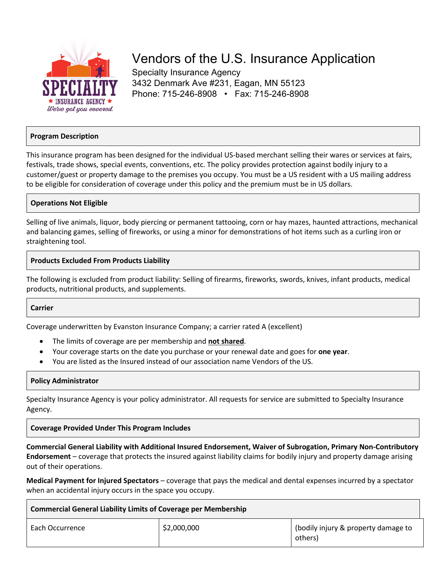

# Vendors of the U.S. Insurance Application

Specialty Insurance Agency 3432 Denmark Ave #231, Eagan, MN 55123 Phone: 715-246-8908 • Fax: 715-246-8908

# **Program Description**

This insurance program has been designed for the individual US-based merchant selling their wares or services at fairs, festivals, trade shows, special events, conventions, etc. The policy provides protection against bodily injury to a customer/guest or property damage to the premises you occupy. You must be a US resident with a US mailing address to be eligible for consideration of coverage under this policy and the premium must be in US dollars.

# **Operations Not Eligible**

Selling of live animals, liquor, body piercing or permanent tattooing, corn or hay mazes, haunted attractions, mechanical and balancing games, selling of fireworks, or using a minor for demonstrations of hot items such as a curling iron or straightening tool.

## **Products Excluded From Products Liability**

The following is excluded from product liability: Selling of firearms, fireworks, swords, knives, infant products, medical products, nutritional products, and supplements.

#### **Carrier**

Coverage underwritten by Evanston Insurance Company; a carrier rated A (excellent)

- The limits of coverage are per membership and **not shared**.
- Your coverage starts on the date you purchase or your renewal date and goes for **one year**.
- You are listed as the Insured instead of our association name Vendors of the US.

#### **Policy Administrator**

Specialty Insurance Agency is your policy administrator. All requests for service are submitted to Specialty Insurance Agency.

# **Coverage Provided Under This Program Includes**

**Commercial General Liability with Additional Insured Endorsement, Waiver of Subrogation, Primary Non-Contributory Endorsement** – coverage that protects the insured against liability claims for bodily injury and property damage arising out of their operations.

**Medical Payment for Injured Spectators** – coverage that pays the medical and dental expenses incurred by a spectator when an accidental injury occurs in the space you occupy.

| <b>Commercial General Liability Limits of Coverage per Membership</b> |             |                                                |  |
|-----------------------------------------------------------------------|-------------|------------------------------------------------|--|
| Each Occurrence                                                       | \$2,000,000 | (bodily injury & property damage to<br>others) |  |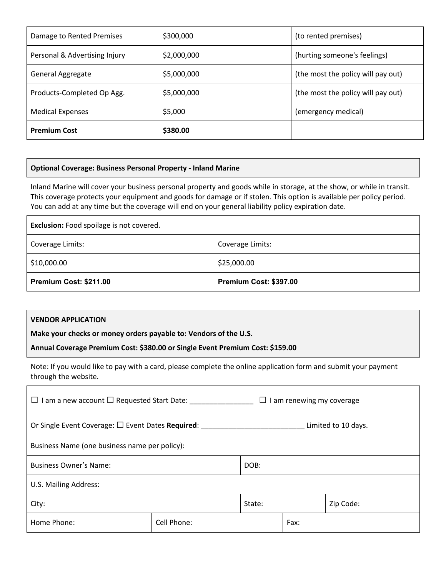| Damage to Rented Premises     | \$300,000   | (to rented premises)               |
|-------------------------------|-------------|------------------------------------|
| Personal & Advertising Injury | \$2,000,000 | (hurting someone's feelings)       |
| <b>General Aggregate</b>      | \$5,000,000 | (the most the policy will pay out) |
| Products-Completed Op Agg.    | \$5,000,000 | (the most the policy will pay out) |
| <b>Medical Expenses</b>       | \$5,000     | (emergency medical)                |
| <b>Premium Cost</b>           | \$380.00    |                                    |

# **Optional Coverage: Business Personal Property - Inland Marine**

Inland Marine will cover your business personal property and goods while in storage, at the show, or while in transit. This coverage protects your equipment and goods for damage or if stolen. This option is available per policy period. You can add at any time but the coverage will end on your general liability policy expiration date.

| <b>Exclusion:</b> Food spoilage is not covered. |                        |  |  |
|-------------------------------------------------|------------------------|--|--|
| Coverage Limits:                                | Coverage Limits:       |  |  |
| \$10,000.00                                     | \$25,000.00            |  |  |
| Premium Cost: \$211.00                          | Premium Cost: \$397.00 |  |  |

# **VENDOR APPLICATION**

**Make your checks or money orders payable to: Vendors of the U.S.**

**Annual Coverage Premium Cost: \$380.00 or Single Event Premium Cost: \$159.00**

Note: If you would like to pay with a card, please complete the online application form and submit your payment through the website.

| $\Box$ I am a new account $\Box$ Requested Start Date:<br>I am renewing my coverage<br>ப |             |        |      |           |
|------------------------------------------------------------------------------------------|-------------|--------|------|-----------|
| Or Single Event Coverage: $\square$ Event Dates Required:<br>Limited to 10 days.         |             |        |      |           |
| Business Name (one business name per policy):                                            |             |        |      |           |
| <b>Business Owner's Name:</b>                                                            |             | DOB:   |      |           |
| U.S. Mailing Address:                                                                    |             |        |      |           |
| City:                                                                                    |             | State: |      | Zip Code: |
| Home Phone:                                                                              | Cell Phone: |        | Fax: |           |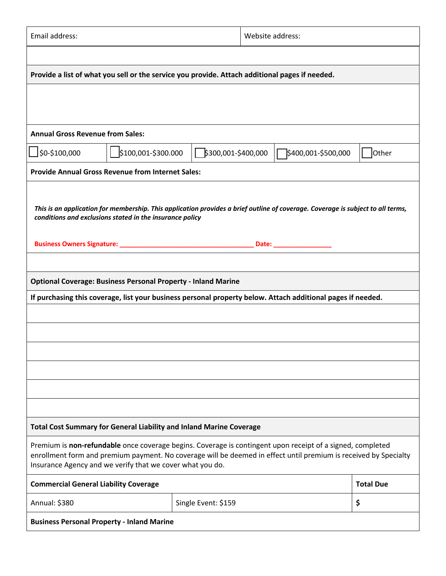| Email address:<br>Website address:                                                                                                                                                                                                                                                          |                     |                     |  |                                                                                                                                 |                  |
|---------------------------------------------------------------------------------------------------------------------------------------------------------------------------------------------------------------------------------------------------------------------------------------------|---------------------|---------------------|--|---------------------------------------------------------------------------------------------------------------------------------|------------------|
|                                                                                                                                                                                                                                                                                             |                     |                     |  |                                                                                                                                 |                  |
| Provide a list of what you sell or the service you provide. Attach additional pages if needed.                                                                                                                                                                                              |                     |                     |  |                                                                                                                                 |                  |
|                                                                                                                                                                                                                                                                                             |                     |                     |  |                                                                                                                                 |                  |
|                                                                                                                                                                                                                                                                                             |                     |                     |  |                                                                                                                                 |                  |
| <b>Annual Gross Revenue from Sales:</b>                                                                                                                                                                                                                                                     |                     |                     |  |                                                                                                                                 |                  |
| \$0-\$100,000                                                                                                                                                                                                                                                                               | \$100,001-\$300.000 | \$300,001-\$400,000 |  |                                                                                                                                 | Other            |
| <b>Provide Annual Gross Revenue from Internet Sales:</b>                                                                                                                                                                                                                                    |                     |                     |  |                                                                                                                                 |                  |
|                                                                                                                                                                                                                                                                                             |                     |                     |  |                                                                                                                                 |                  |
| conditions and exclusions stated in the insurance policy                                                                                                                                                                                                                                    |                     |                     |  | This is an application for membership. This application provides a brief outline of coverage. Coverage is subject to all terms, |                  |
|                                                                                                                                                                                                                                                                                             |                     |                     |  |                                                                                                                                 |                  |
|                                                                                                                                                                                                                                                                                             |                     |                     |  | Date: <u>_____________________</u>                                                                                              |                  |
|                                                                                                                                                                                                                                                                                             |                     |                     |  |                                                                                                                                 |                  |
| <b>Optional Coverage: Business Personal Property - Inland Marine</b>                                                                                                                                                                                                                        |                     |                     |  |                                                                                                                                 |                  |
|                                                                                                                                                                                                                                                                                             |                     |                     |  | If purchasing this coverage, list your business personal property below. Attach additional pages if needed.                     |                  |
|                                                                                                                                                                                                                                                                                             |                     |                     |  |                                                                                                                                 |                  |
|                                                                                                                                                                                                                                                                                             |                     |                     |  |                                                                                                                                 |                  |
|                                                                                                                                                                                                                                                                                             |                     |                     |  |                                                                                                                                 |                  |
|                                                                                                                                                                                                                                                                                             |                     |                     |  |                                                                                                                                 |                  |
|                                                                                                                                                                                                                                                                                             |                     |                     |  |                                                                                                                                 |                  |
|                                                                                                                                                                                                                                                                                             |                     |                     |  |                                                                                                                                 |                  |
| <b>Total Cost Summary for General Liability and Inland Marine Coverage</b>                                                                                                                                                                                                                  |                     |                     |  |                                                                                                                                 |                  |
| Premium is non-refundable once coverage begins. Coverage is contingent upon receipt of a signed, completed<br>enrollment form and premium payment. No coverage will be deemed in effect until premium is received by Specialty<br>Insurance Agency and we verify that we cover what you do. |                     |                     |  |                                                                                                                                 |                  |
| <b>Commercial General Liability Coverage</b>                                                                                                                                                                                                                                                |                     |                     |  |                                                                                                                                 | <b>Total Due</b> |
| Annual: \$380                                                                                                                                                                                                                                                                               |                     | Single Event: \$159 |  |                                                                                                                                 | \$               |
| <b>Business Personal Property - Inland Marine</b>                                                                                                                                                                                                                                           |                     |                     |  |                                                                                                                                 |                  |